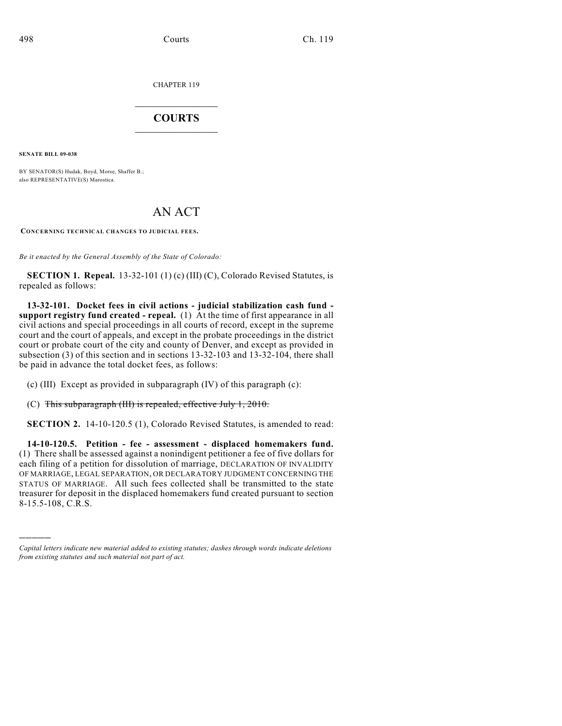CHAPTER 119

## $\mathcal{L}_\text{max}$  . The set of the set of the set of the set of the set of the set of the set of the set of the set of the set of the set of the set of the set of the set of the set of the set of the set of the set of the set **COURTS**  $\_$   $\_$   $\_$   $\_$   $\_$   $\_$   $\_$   $\_$

**SENATE BILL 09-038**

)))))

BY SENATOR(S) Hudak, Boyd, Morse, Shaffer B.; also REPRESENTATIVE(S) Marostica.

## AN ACT

**CONCERNING TECHNICAL CHANGES TO JUDICIAL FEES.**

*Be it enacted by the General Assembly of the State of Colorado:*

**SECTION 1. Repeal.** 13-32-101 (1) (c) (III) (C), Colorado Revised Statutes, is repealed as follows:

**13-32-101. Docket fees in civil actions - judicial stabilization cash fund support registry fund created - repeal.** (1) At the time of first appearance in all civil actions and special proceedings in all courts of record, except in the supreme court and the court of appeals, and except in the probate proceedings in the district court or probate court of the city and county of Denver, and except as provided in subsection (3) of this section and in sections 13-32-103 and 13-32-104, there shall be paid in advance the total docket fees, as follows:

(c) (III) Except as provided in subparagraph (IV) of this paragraph (c):

(C) This subparagraph (III) is repealed, effective July 1, 2010.

**SECTION 2.** 14-10-120.5 (1), Colorado Revised Statutes, is amended to read:

**14-10-120.5. Petition - fee - assessment - displaced homemakers fund.** (1) There shall be assessed against a nonindigent petitioner a fee of five dollars for each filing of a petition for dissolution of marriage, DECLARATION OF INVALIDITY OF MARRIAGE, LEGAL SEPARATION, OR DECLARATORY JUDGMENT CONCERNING THE STATUS OF MARRIAGE. All such fees collected shall be transmitted to the state treasurer for deposit in the displaced homemakers fund created pursuant to section 8-15.5-108, C.R.S.

*Capital letters indicate new material added to existing statutes; dashes through words indicate deletions from existing statutes and such material not part of act.*